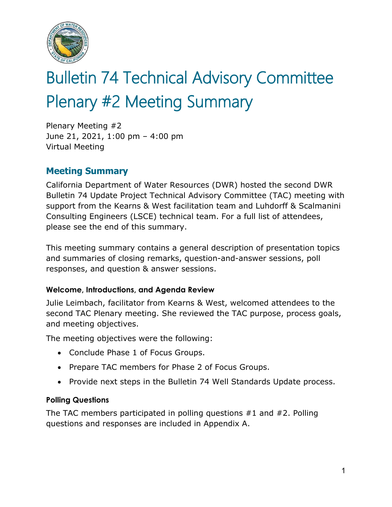

# Bulletin 74 Technical Advisory Committee Plenary #2 Meeting Summary

Plenary Meeting #2 June 21, 2021, 1:00 pm – 4:00 pm Virtual Meeting

# **Meeting Summary**

California Department of Water Resources (DWR) hosted the second DWR Bulletin 74 Update Project Technical Advisory Committee (TAC) meeting with support from the Kearns & West facilitation team and Luhdorff & Scalmanini Consulting Engineers (LSCE) technical team. For a full list of attendees, please see the end of this summary.

This meeting summary contains a general description of presentation topics and summaries of closing remarks, question-and-answer sessions, poll responses, and question & answer sessions.

# **Welcome, Introductions, and Agenda Review**

Julie Leimbach, facilitator from Kearns & West, welcomed attendees to the second TAC Plenary meeting. She reviewed the TAC purpose, process goals, and meeting objectives.

The meeting objectives were the following:

- Conclude Phase 1 of Focus Groups.
- Prepare TAC members for Phase 2 of Focus Groups.
- Provide next steps in the Bulletin 74 Well Standards Update process.

# **Polling Questions**

The TAC members participated in polling questions #1 and #2. Polling questions and responses are included in Appendix A.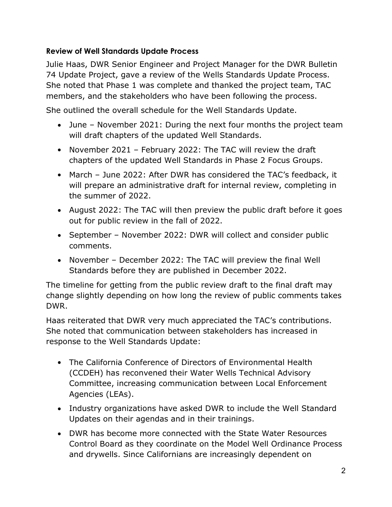# **Review of Well Standards Update Process**

Julie Haas, DWR Senior Engineer and Project Manager for the DWR Bulletin 74 Update Project, gave a review of the Wells Standards Update Process. She noted that Phase 1 was complete and thanked the project team, TAC members, and the stakeholders who have been following the process.

She outlined the overall schedule for the Well Standards Update.

- June November 2021: During the next four months the project team will draft chapters of the updated Well Standards.
- November 2021 February 2022: The TAC will review the draft chapters of the updated Well Standards in Phase 2 Focus Groups.
- March June 2022: After DWR has considered the TAC's feedback, it will prepare an administrative draft for internal review, completing in the summer of 2022.
- August 2022: The TAC will then preview the public draft before it goes out for public review in the fall of 2022.
- September November 2022: DWR will collect and consider public comments.
- November December 2022: The TAC will preview the final Well Standards before they are published in December 2022.

The timeline for getting from the public review draft to the final draft may change slightly depending on how long the review of public comments takes DWR.

Haas reiterated that DWR very much appreciated the TAC's contributions. She noted that communication between stakeholders has increased in response to the Well Standards Update:

- The California Conference of Directors of Environmental Health (CCDEH) has reconvened their Water Wells Technical Advisory Committee, increasing communication between Local Enforcement Agencies (LEAs).
- Industry organizations have asked DWR to include the Well Standard Updates on their agendas and in their trainings.
- DWR has become more connected with the State Water Resources Control Board as they coordinate on the Model Well Ordinance Process and drywells. Since Californians are increasingly dependent on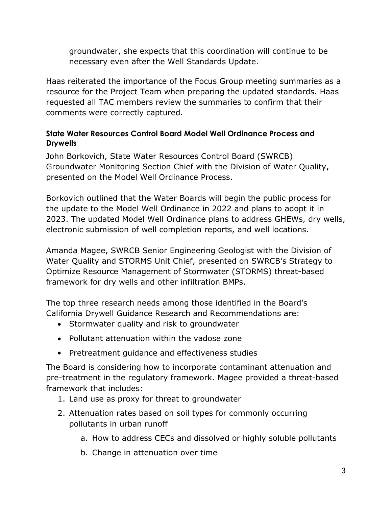groundwater, she expects that this coordination will continue to be necessary even after the Well Standards Update.

Haas reiterated the importance of the Focus Group meeting summaries as a resource for the Project Team when preparing the updated standards. Haas requested all TAC members review the summaries to confirm that their comments were correctly captured.

# **State Water Resources Control Board Model Well Ordinance Process and Drywells**

John Borkovich, State Water Resources Control Board (SWRCB) Groundwater Monitoring Section Chief with the Division of Water Quality, presented on the Model Well Ordinance Process.

Borkovich outlined that the Water Boards will begin the public process for the update to the Model Well Ordinance in 2022 and plans to adopt it in 2023. The updated Model Well Ordinance plans to address GHEWs, dry wells, electronic submission of well completion reports, and well locations.

Amanda Magee, SWRCB Senior Engineering Geologist with the Division of Water Quality and STORMS Unit Chief, presented on SWRCB's Strategy to Optimize Resource Management of Stormwater (STORMS) threat-based framework for dry wells and other infiltration BMPs.

The top three research needs among those identified in the Board's California Drywell Guidance Research and Recommendations are:

- Stormwater quality and risk to groundwater
- Pollutant attenuation within the vadose zone
- Pretreatment guidance and effectiveness studies

The Board is considering how to incorporate contaminant attenuation and pre-treatment in the regulatory framework. Magee provided a threat-based framework that includes:

- 1. Land use as proxy for threat to groundwater
- 2. Attenuation rates based on soil types for commonly occurring pollutants in urban runoff
	- a. How to address CECs and dissolved or highly soluble pollutants
	- b. Change in attenuation over time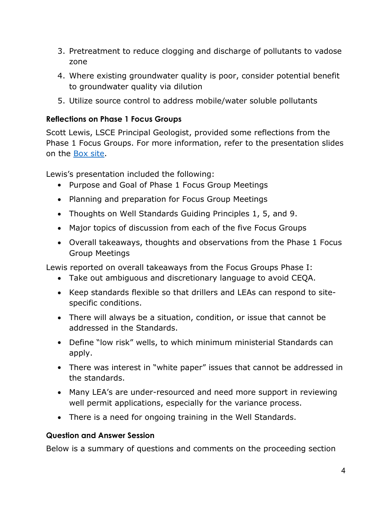- 3. Pretreatment to reduce clogging and discharge of pollutants to vadose zone
- 4. Where existing groundwater quality is poor, consider potential benefit to groundwater quality via dilution
- 5. Utilize source control to address mobile/water soluble pollutants

# **Reflections on Phase 1 Focus Groups**

Scott Lewis, LSCE Principal Geologist, provided some reflections from the Phase 1 Focus Groups. For more information, refer to the presentation slides on the [Box site.](https://app.box.com/file/828340960398?s=0lu8h0ulul29x2bi0dqy46eue8ookfty)

Lewis's presentation included the following:

- Purpose and Goal of Phase 1 Focus Group Meetings
- Planning and preparation for Focus Group Meetings
- Thoughts on Well Standards Guiding Principles 1, 5, and 9.
- Major topics of discussion from each of the five Focus Groups
- Overall takeaways, thoughts and observations from the Phase 1 Focus Group Meetings

Lewis reported on overall takeaways from the Focus Groups Phase I:

- Take out ambiguous and discretionary language to avoid CEQA.
- Keep standards flexible so that drillers and LEAs can respond to sitespecific conditions.
- There will always be a situation, condition, or issue that cannot be addressed in the Standards.
- Define "low risk" wells, to which minimum ministerial Standards can apply.
- There was interest in "white paper" issues that cannot be addressed in the standards.
- Many LEA's are under-resourced and need more support in reviewing well permit applications, especially for the variance process.
- There is a need for ongoing training in the Well Standards.

# **Question and Answer Session**

Below is a summary of questions and comments on the proceeding section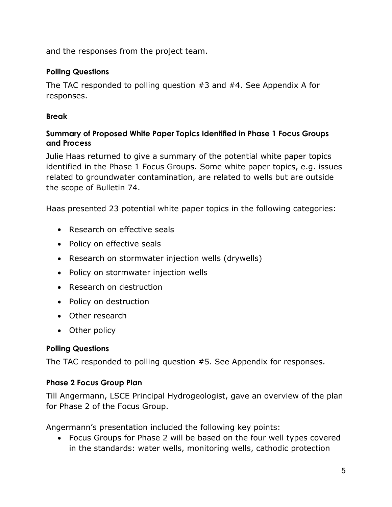and the responses from the project team.

# **Polling Questions**

The TAC responded to polling question #3 and #4. See Appendix A for responses.

# **Break**

# **Summary of Proposed White Paper Topics Identified in Phase 1 Focus Groups and Process**

Julie Haas returned to give a summary of the potential white paper topics identified in the Phase 1 Focus Groups. Some white paper topics, e.g. issues related to groundwater contamination, are related to wells but are outside the scope of Bulletin 74.

Haas presented 23 potential white paper topics in the following categories:

- Research on effective seals
- Policy on effective seals
- Research on stormwater injection wells (drywells)
- Policy on stormwater injection wells
- Research on destruction
- Policy on destruction
- Other research
- Other policy

# **Polling Questions**

The TAC responded to polling question #5. See Appendix for responses.

# **Phase 2 Focus Group Plan**

Till Angermann, LSCE Principal Hydrogeologist, gave an overview of the plan for Phase 2 of the Focus Group.

Angermann's presentation included the following key points:

• Focus Groups for Phase 2 will be based on the four well types covered in the standards: water wells, monitoring wells, cathodic protection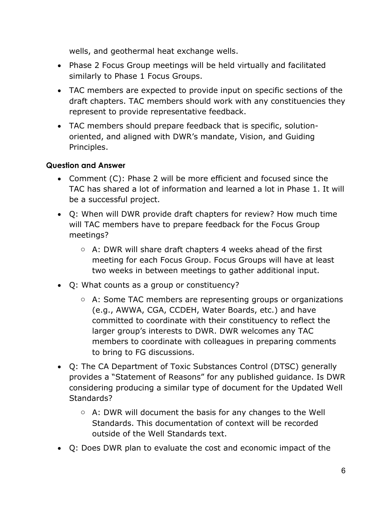wells, and geothermal heat exchange wells.

- Phase 2 Focus Group meetings will be held virtually and facilitated similarly to Phase 1 Focus Groups.
- TAC members are expected to provide input on specific sections of the draft chapters. TAC members should work with any constituencies they represent to provide representative feedback.
- TAC members should prepare feedback that is specific, solutionoriented, and aligned with DWR's mandate, Vision, and Guiding Principles.

# **Question and Answer**

- Comment (C): Phase 2 will be more efficient and focused since the TAC has shared a lot of information and learned a lot in Phase 1. It will be a successful project.
- Q: When will DWR provide draft chapters for review? How much time will TAC members have to prepare feedback for the Focus Group meetings?
	- $\circ$  A: DWR will share draft chapters 4 weeks ahead of the first meeting for each Focus Group. Focus Groups will have at least two weeks in between meetings to gather additional input.
- Q: What counts as a group or constituency?
	- o A: Some TAC members are representing groups or organizations (e.g., AWWA, CGA, CCDEH, Water Boards, etc.) and have committed to coordinate with their constituency to reflect the larger group's interests to DWR. DWR welcomes any TAC members to coordinate with colleagues in preparing comments to bring to FG discussions.
- Q: The CA Department of Toxic Substances Control (DTSC) generally provides a "Statement of Reasons" for any published guidance. Is DWR considering producing a similar type of document for the Updated Well Standards?
	- o A: DWR will document the basis for any changes to the Well Standards. This documentation of context will be recorded outside of the Well Standards text.
- Q: Does DWR plan to evaluate the cost and economic impact of the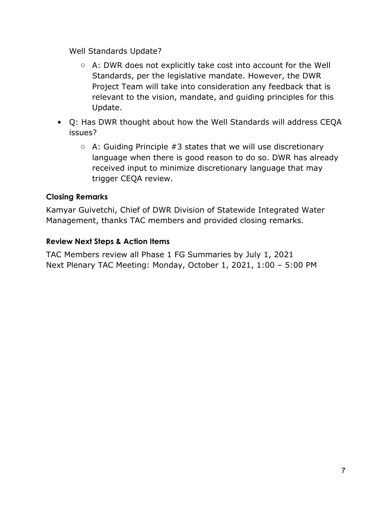Well Standards Update?

- o A: DWR does not explicitly take cost into account for the Well Standards, per the legislative mandate. However, the DWR Project Team will take into consideration any feedback that is relevant to the vision, mandate, and guiding principles for this Update.
- Q: Has DWR thought about how the Well Standards will address CEQA issues?
	- $\circ$  A: Guiding Principle #3 states that we will use discretionary language when there is good reason to do so. DWR has already received input to minimize discretionary language that may trigger CEQA review.

# **Closing Remarks**

Kamyar Guivetchi, Chief of DWR Division of Statewide Integrated Water Management, thanks TAC members and provided closing remarks.

# **Review Next Steps & Action Items**

TAC Members review all Phase 1 FG Summaries by July 1, 2021 Next Plenary TAC Meeting: Monday, October 1, 2021, 1:00 – 5:00 PM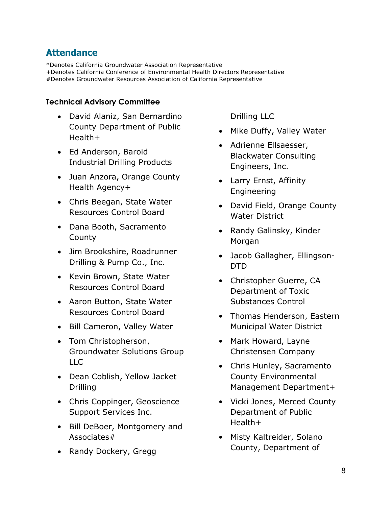# **Attendance**

\*Denotes California Groundwater Association Representative +Denotes California Conference of Environmental Health Directors Representative #Denotes Groundwater Resources Association of California Representative

#### **Technical Advisory Committee**

- David Alaniz, San Bernardino County Department of Public Health+
- Ed Anderson, Baroid Industrial Drilling Products
- Juan Anzora, Orange County Health Agency+
- Chris Beegan, State Water Resources Control Board
- Dana Booth, Sacramento **County**
- Jim Brookshire, Roadrunner Drilling & Pump Co., Inc.
- Kevin Brown, State Water Resources Control Board
- Aaron Button, State Water Resources Control Board
- Bill Cameron, Valley Water
- Tom Christopherson, Groundwater Solutions Group LLC
- Dean Coblish, Yellow Jacket Drilling
- Chris Coppinger, Geoscience Support Services Inc.
- Bill DeBoer, Montgomery and Associates#
- Randy Dockery, Gregg

Drilling LLC

- Mike Duffy, Valley Water
- Adrienne Ellsaesser, Blackwater Consulting Engineers, Inc.
- Larry Ernst, Affinity Engineering
- David Field, Orange County Water District
- Randy Galinsky, Kinder Morgan
- Jacob Gallagher, Ellingson-DTD
- Christopher Guerre, CA Department of Toxic Substances Control
- Thomas Henderson, Eastern Municipal Water District
- Mark Howard, Layne Christensen Company
- Chris Hunley, Sacramento County Environmental Management Department+
- Vicki Jones, Merced County Department of Public Health+
- Misty Kaltreider, Solano County, Department of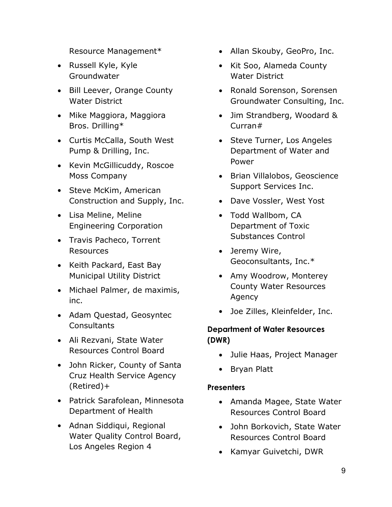Resource Management\*

- Russell Kyle, Kyle Groundwater
- Bill Leever, Orange County Water District
- Mike Maggiora, Maggiora Bros. Drilling\*
- Curtis McCalla, South West Pump & Drilling, Inc.
- Kevin McGillicuddy, Roscoe Moss Company
- Steve McKim, American Construction and Supply, Inc.
- Lisa Meline, Meline Engineering Corporation
- Travis Pacheco, Torrent Resources
- Keith Packard, East Bay Municipal Utility District
- Michael Palmer, de maximis, inc.
- Adam Questad, Geosyntec Consultants
- Ali Rezvani, State Water Resources Control Board
- John Ricker, County of Santa Cruz Health Service Agency (Retired)+
- Patrick Sarafolean, Minnesota Department of Health
- Adnan Siddiqui, Regional Water Quality Control Board, Los Angeles Region 4
- Allan Skouby, GeoPro, Inc.
- Kit Soo, Alameda County Water District
- Ronald Sorenson, Sorensen Groundwater Consulting, Inc.
- Jim Strandberg, Woodard & Curran#
- Steve Turner, Los Angeles Department of Water and Power
- Brian Villalobos, Geoscience Support Services Inc.
- Dave Vossler, West Yost
- Todd Wallbom, CA Department of Toxic Substances Control
- Jeremy Wire, Geoconsultants, Inc.\*
- Amy Woodrow, Monterey County Water Resources Agency
- Joe Zilles, Kleinfelder, Inc.

# **Department of Water Resources (DWR)**

- Julie Haas, Project Manager
- Bryan Platt

# **Presenters**

- Amanda Magee, State Water Resources Control Board
- John Borkovich, State Water Resources Control Board
- Kamyar Guivetchi, DWR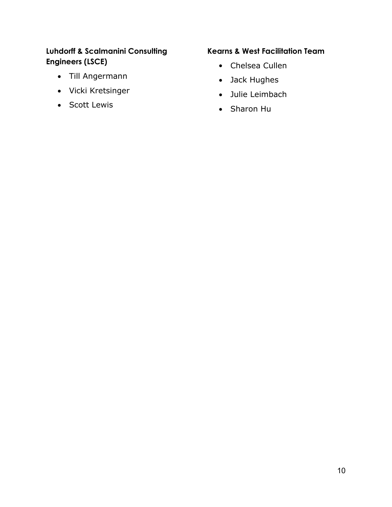# **Luhdorff & Scalmanini Consulting Engineers (LSCE)**

- Till Angermann
- Vicki Kretsinger
- Scott Lewis

# **Kearns & West Facilitation Team**

- Chelsea Cullen
- Jack Hughes
- Julie Leimbach
- Sharon Hu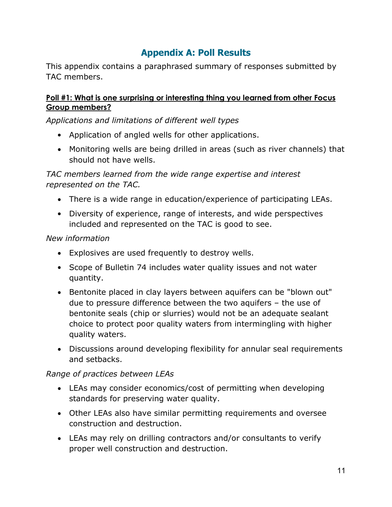# **Appendix A: Poll Results**

This appendix contains a paraphrased summary of responses submitted by TAC members.

#### **Poll #1: What is one surprising or interesting thing you learned from other Focus Group members?**

*Applications and limitations of different well types*

- Application of angled wells for other applications.
- Monitoring wells are being drilled in areas (such as river channels) that should not have wells.

*TAC members learned from the wide range expertise and interest represented on the TAC.*

- There is a wide range in education/experience of participating LEAs.
- Diversity of experience, range of interests, and wide perspectives included and represented on the TAC is good to see.

# *New information*

- Explosives are used frequently to destroy wells.
- Scope of Bulletin 74 includes water quality issues and not water quantity.
- Bentonite placed in clay layers between aquifers can be "blown out" due to pressure difference between the two aquifers – the use of bentonite seals (chip or slurries) would not be an adequate sealant choice to protect poor quality waters from intermingling with higher quality waters.
- Discussions around developing flexibility for annular seal requirements and setbacks.

# *Range of practices between LEAs*

- LEAs may consider economics/cost of permitting when developing standards for preserving water quality.
- Other LEAs also have similar permitting requirements and oversee construction and destruction.
- LEAs may rely on drilling contractors and/or consultants to verify proper well construction and destruction.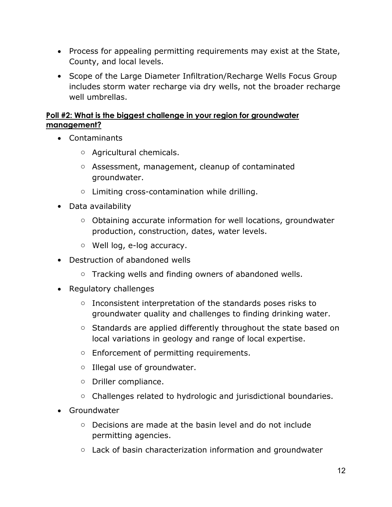- Process for appealing permitting requirements may exist at the State, County, and local levels.
- Scope of the Large Diameter Infiltration/Recharge Wells Focus Group includes storm water recharge via dry wells, not the broader recharge well umbrellas.

# **Poll #2: What is the biggest challenge in your region for groundwater management?**

- Contaminants
	- o Agricultural chemicals.
	- o Assessment, management, cleanup of contaminated groundwater.
	- o Limiting cross-contamination while drilling.
- Data availability
	- o Obtaining accurate information for well locations, groundwater production, construction, dates, water levels.
	- o Well log, e-log accuracy.
- Destruction of abandoned wells
	- o Tracking wells and finding owners of abandoned wells.
- Regulatory challenges
	- o Inconsistent interpretation of the standards poses risks to groundwater quality and challenges to finding drinking water.
	- o Standards are applied differently throughout the state based on local variations in geology and range of local expertise.
	- o Enforcement of permitting requirements.
	- o Illegal use of groundwater.
	- o Driller compliance.
	- o Challenges related to hydrologic and jurisdictional boundaries.
- Groundwater
	- o Decisions are made at the basin level and do not include permitting agencies.
	- $\circ$  Lack of basin characterization information and groundwater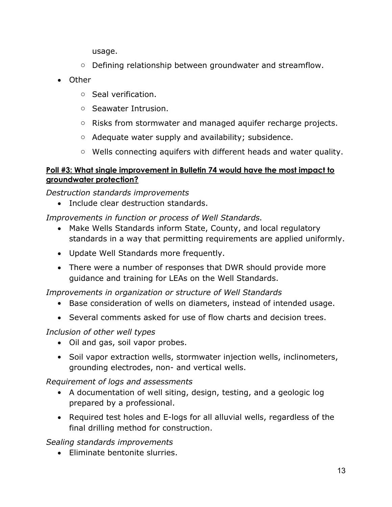usage.

- $\circ$  Defining relationship between groundwater and streamflow.
- Other
	- o Seal verification.
	- o Seawater Intrusion.
	- o Risks from stormwater and managed aquifer recharge projects.
	- o Adequate water supply and availability; subsidence.
	- o Wells connecting aquifers with different heads and water quality.

# **Poll #3: What single improvement in Bulletin 74 would have the most impact to groundwater protection?**

*Destruction standards improvements* 

• Include clear destruction standards.

*Improvements in function or process of Well Standards.*

- Make Wells Standards inform State, County, and local regulatory standards in a way that permitting requirements are applied uniformly.
- Update Well Standards more frequently.
- There were a number of responses that DWR should provide more guidance and training for LEAs on the Well Standards.

*Improvements in organization or structure of Well Standards*

- Base consideration of wells on diameters, instead of intended usage.
- Several comments asked for use of flow charts and decision trees.

# *Inclusion of other well types*

- Oil and gas, soil vapor probes.
- Soil vapor extraction wells, stormwater injection wells, inclinometers, grounding electrodes, non- and vertical wells.

# *Requirement of logs and assessments*

- A documentation of well siting, design, testing, and a geologic log prepared by a professional.
- Required test holes and E-logs for all alluvial wells, regardless of the final drilling method for construction.

*Sealing standards improvements* 

• Eliminate bentonite slurries.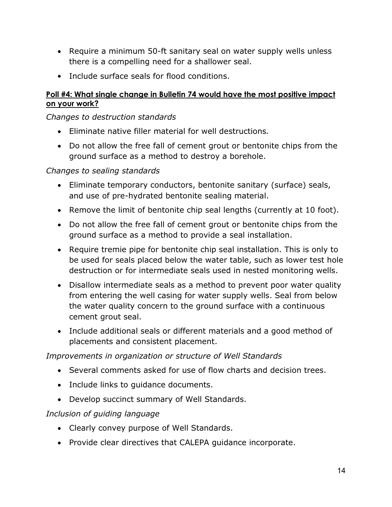- Require a minimum 50-ft sanitary seal on water supply wells unless there is a compelling need for a shallower seal.
- Include surface seals for flood conditions.

# **Poll #4: What single change in Bulletin 74 would have the most positive impact on your work?**

# *Changes to destruction standards*

- Eliminate native filler material for well destructions*.*
- Do not allow the free fall of cement grout or bentonite chips from the ground surface as a method to destroy a borehole.

# *Changes to sealing standards*

- Eliminate temporary conductors, bentonite sanitary (surface) seals, and use of pre-hydrated bentonite sealing material.
- Remove the limit of bentonite chip seal lengths (currently at 10 foot).
- Do not allow the free fall of cement grout or bentonite chips from the ground surface as a method to provide a seal installation.
- Require tremie pipe for bentonite chip seal installation. This is only to be used for seals placed below the water table, such as lower test hole destruction or for intermediate seals used in nested monitoring wells.
- Disallow intermediate seals as a method to prevent poor water quality from entering the well casing for water supply wells. Seal from below the water quality concern to the ground surface with a continuous cement grout seal.
- Include additional seals or different materials and a good method of placements and consistent placement.

# *Improvements in organization or structure of Well Standards*

- Several comments asked for use of flow charts and decision trees.
- Include links to guidance documents.
- Develop succinct summary of Well Standards.

# *Inclusion of guiding language*

- Clearly convey purpose of Well Standards.
- Provide clear directives that CALEPA guidance incorporate.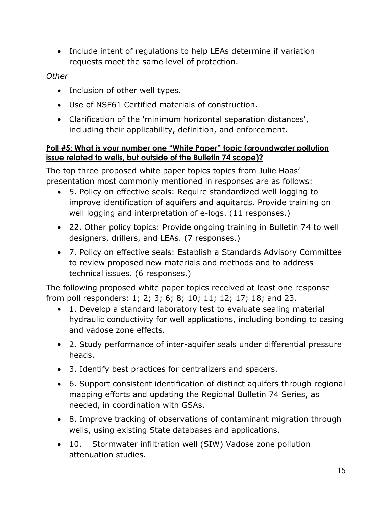• Include intent of regulations to help LEAs determine if variation requests meet the same level of protection.

# *Other*

- Inclusion of other well types.
- Use of NSF61 Certified materials of construction.
- Clarification of the 'minimum horizontal separation distances', including their applicability, definition, and enforcement.

# **Poll #5: What is your number one "White Paper" topic (groundwater pollution issue related to wells, but outside of the Bulletin 74 scope)?**

The top three proposed white paper topics topics from Julie Haas' presentation most commonly mentioned in responses are as follows:

- 5. Policy on effective seals: Require standardized well logging to improve identification of aquifers and aquitards. Provide training on well logging and interpretation of e-logs. (11 responses.)
- 22. Other policy topics: Provide ongoing training in Bulletin 74 to well designers, drillers, and LEAs. (7 responses.)
- 7. Policy on effective seals: Establish a Standards Advisory Committee to review proposed new materials and methods and to address technical issues. (6 responses.)

The following proposed white paper topics received at least one response from poll responders: 1; 2; 3; 6; 8; 10; 11; 12; 17; 18; and 23.

- 1. Develop a standard laboratory test to evaluate sealing material hydraulic conductivity for well applications, including bonding to casing and vadose zone effects.
- 2. Study performance of inter-aquifer seals under differential pressure heads.
- 3. Identify best practices for centralizers and spacers.
- 6. Support consistent identification of distinct aquifers through regional mapping efforts and updating the Regional Bulletin 74 Series, as needed, in coordination with GSAs.
- 8. Improve tracking of observations of contaminant migration through wells, using existing State databases and applications.
- 10. Stormwater infiltration well (SIW) Vadose zone pollution attenuation studies.